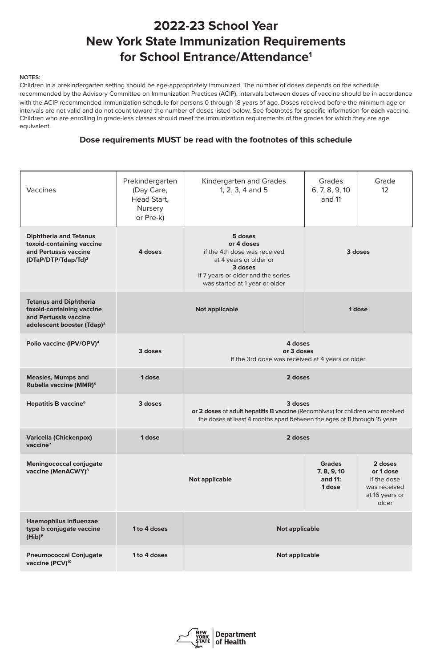| <b>Vaccines</b>                                                                                                               | Prekindergarten<br>(Day Care,<br>Head Start,<br>Nursery<br>or Pre-k)                                                                                         | <b>Kindergarten and Grades</b><br>1, 2, 3, 4 and 5                                                                                                                     | Grades<br>6, 7, 8, 9, 10<br>and 11 | Grade<br>12 <sup>2</sup> |
|-------------------------------------------------------------------------------------------------------------------------------|--------------------------------------------------------------------------------------------------------------------------------------------------------------|------------------------------------------------------------------------------------------------------------------------------------------------------------------------|------------------------------------|--------------------------|
| <b>Diphtheria and Tetanus</b><br>toxoid-containing vaccine<br>and Pertussis vaccine<br>$(DTaP/DTP/Tdap/Td)^2$                 | 4 doses                                                                                                                                                      | 5 doses<br>or 4 doses<br>if the 4th dose was received<br>at 4 years or older or<br>3 doses<br>if 7 years or older and the series<br>was started at 1 year or older     | 3 doses                            |                          |
| <b>Tetanus and Diphtheria</b><br>toxoid-containing vaccine<br>and Pertussis vaccine<br>adolescent booster (Tdap) <sup>3</sup> |                                                                                                                                                              | <b>Not applicable</b>                                                                                                                                                  | 1 dose                             |                          |
| Polio vaccine (IPV/OPV) <sup>4</sup>                                                                                          | 3 doses                                                                                                                                                      | 4 doses<br>or 3 doses<br>if the 3rd dose was received at 4 years or older                                                                                              |                                    |                          |
| <b>Measles, Mumps and</b><br>Rubella vaccine (MMR) <sup>5</sup>                                                               | 1 dose                                                                                                                                                       | 2 doses                                                                                                                                                                |                                    |                          |
| <b>Hepatitis B vaccine<sup>6</sup></b>                                                                                        | 3 doses                                                                                                                                                      | 3 doses<br>or 2 doses of adult hepatitis B vaccine (Recombivax) for children who received<br>the doses at least 4 months apart between the ages of 11 through 15 years |                                    |                          |
| <b>Varicella (Chickenpox)</b><br>vaccine <sup>7</sup>                                                                         | 1 dose                                                                                                                                                       | 2 doses                                                                                                                                                                |                                    |                          |
| <b>Meningococcal conjugate</b><br>vaccine (MenACWY) <sup>8</sup>                                                              | <b>Grades</b><br>2 doses<br>7, 8, 9, 10<br>or 1 dose<br>and 11:<br>if the dose<br><b>Not applicable</b><br>1 dose<br>was received<br>at 16 years or<br>older |                                                                                                                                                                        |                                    |                          |
| <b>Haemophilus influenzae</b><br>type b conjugate vaccine<br>$(Hib)^9$                                                        | 1 to 4 doses                                                                                                                                                 | <b>Not applicable</b>                                                                                                                                                  |                                    |                          |
| <b>Pneumococcal Conjugate</b><br>vaccine (PCV) <sup>10</sup>                                                                  | 1 to 4 doses                                                                                                                                                 | <b>Not applicable</b>                                                                                                                                                  |                                    |                          |

## **2022-23 School Year New York State Immunization Requirements for School Entrance/Attendance1**

## **NOTES:**

Children in a prekindergarten setting should be age-appropriately immunized. The number of doses depends on the schedule recommended by the Advisory Committee on Immunization Practices (ACIP). Intervals between doses of vaccine should be in accordance with the ACIP-recommended immunization schedule for persons 0 through 18 years of age. Doses received before the minimum age or intervals are not valid and do not count toward the number of doses listed below. See footnotes for specific information for **each** vaccine. Children who are enrolling in grade-less classes should meet the immunization requirements of the grades for which they are age equivalent.

## **Dose requirements MUST be read with the footnotes of this schedule**